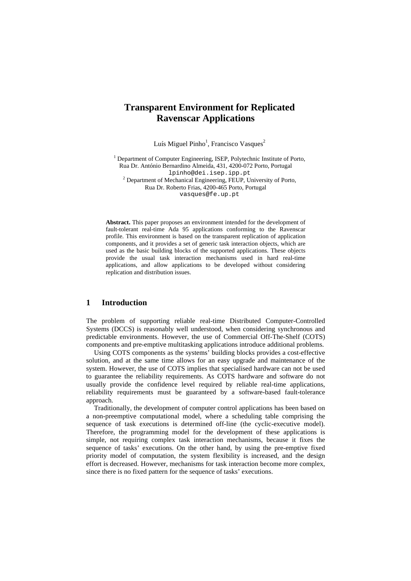# **Transparent Environment for Replicated Ravenscar Applications**

Luís Miguel Pinho<sup>1</sup>, Francisco Vasques<sup>2</sup>

<sup>1</sup> Department of Computer Engineering, ISEP, Polytechnic Institute of Porto, Rua Dr. António Bernardino Almeida, 431, 4200-072 Porto, Portugal lpinho@dei.isep.ipp.pt <sup>2</sup> Department of Mechanical Engineering, FEUP, University of Porto,

Rua Dr. Roberto Frias, 4200-465 Porto, Portugal vasques@fe.up.pt

**Abstract.** This paper proposes an environment intended for the development of fault-tolerant real-time Ada 95 applications conforming to the Ravenscar profile. This environment is based on the transparent replication of application components, and it provides a set of generic task interaction objects, which are used as the basic building blocks of the supported applications. These objects provide the usual task interaction mechanisms used in hard real-time applications, and allow applications to be developed without considering replication and distribution issues.

## **1 Introduction**

The problem of supporting reliable real-time Distributed Computer-Controlled Systems (DCCS) is reasonably well understood, when considering synchronous and predictable environments. However, the use of Commercial Off-The-Shelf (COTS) components and pre-emptive multitasking applications introduce additional problems.

Using COTS components as the systems' building blocks provides a cost-effective solution, and at the same time allows for an easy upgrade and maintenance of the system. However, the use of COTS implies that specialised hardware can not be used to guarantee the reliability requirements. As COTS hardware and software do not usually provide the confidence level required by reliable real-time applications, reliability requirements must be guaranteed by a software-based fault-tolerance approach.

Traditionally, the development of computer control applications has been based on a non-preemptive computational model, where a scheduling table comprising the sequence of task executions is determined off-line (the cyclic-executive model). Therefore, the programming model for the development of these applications is simple, not requiring complex task interaction mechanisms, because it fixes the sequence of tasks' executions. On the other hand, by using the pre-emptive fixed priority model of computation, the system flexibility is increased, and the design effort is decreased. However, mechanisms for task interaction become more complex, since there is no fixed pattern for the sequence of tasks' executions.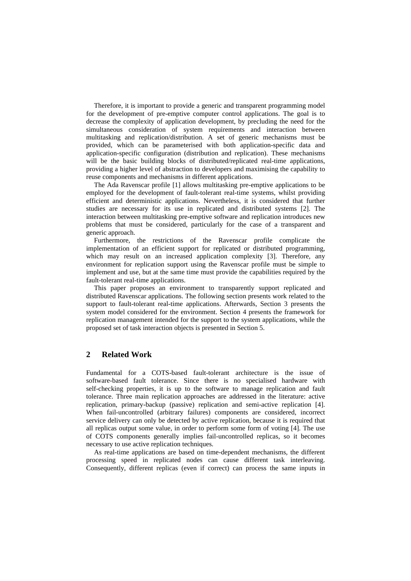Therefore, it is important to provide a generic and transparent programming model for the development of pre-emptive computer control applications. The goal is to decrease the complexity of application development, by precluding the need for the simultaneous consideration of system requirements and interaction between multitasking and replication/distribution. A set of generic mechanisms must be provided, which can be parameterised with both application-specific data and application-specific configuration (distribution and replication). These mechanisms will be the basic building blocks of distributed/replicated real-time applications, providing a higher level of abstraction to developers and maximising the capability to reuse components and mechanisms in different applications.

The Ada Ravenscar profile [1] allows multitasking pre-emptive applications to be employed for the development of fault-tolerant real-time systems, whilst providing efficient and deterministic applications. Nevertheless, it is considered that further studies are necessary for its use in replicated and distributed systems [2]. The interaction between multitasking pre-emptive software and replication introduces new problems that must be considered, particularly for the case of a transparent and generic approach.

Furthermore, the restrictions of the Ravenscar profile complicate the implementation of an efficient support for replicated or distributed programming, which may result on an increased application complexity [3]. Therefore, any environment for replication support using the Ravenscar profile must be simple to implement and use, but at the same time must provide the capabilities required by the fault-tolerant real-time applications.

This paper proposes an environment to transparently support replicated and distributed Ravenscar applications. The following section presents work related to the support to fault-tolerant real-time applications. Afterwards, Section 3 presents the system model considered for the environment. Section 4 presents the framework for replication management intended for the support to the system applications, while the proposed set of task interaction objects is presented in Section 5.

## **2 Related Work**

Fundamental for a COTS-based fault-tolerant architecture is the issue of software-based fault tolerance. Since there is no specialised hardware with self-checking properties, it is up to the software to manage replication and fault tolerance. Three main replication approaches are addressed in the literature: active replication, primary-backup (passive) replication and semi-active replication [4]. When fail-uncontrolled (arbitrary failures) components are considered, incorrect service delivery can only be detected by active replication, because it is required that all replicas output some value, in order to perform some form of voting [4]. The use of COTS components generally implies fail-uncontrolled replicas, so it becomes necessary to use active replication techniques.

As real-time applications are based on time-dependent mechanisms, the different processing speed in replicated nodes can cause different task interleaving. Consequently, different replicas (even if correct) can process the same inputs in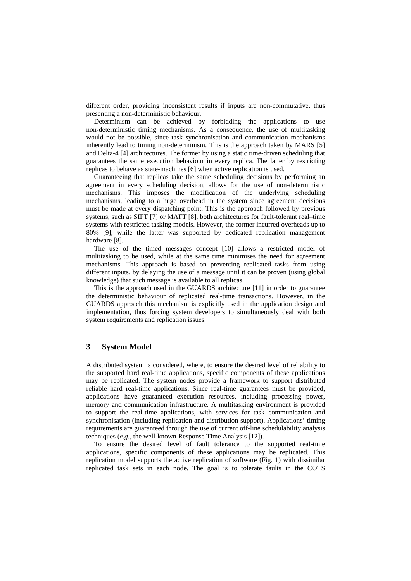different order, providing inconsistent results if inputs are non-commutative, thus presenting a non-deterministic behaviour.

Determinism can be achieved by forbidding the applications to use non-deterministic timing mechanisms. As a consequence, the use of multitasking would not be possible, since task synchronisation and communication mechanisms inherently lead to timing non-determinism. This is the approach taken by MARS [5] and Delta-4 [4] architectures. The former by using a static time-driven scheduling that guarantees the same execution behaviour in every replica. The latter by restricting replicas to behave as state-machines [6] when active replication is used.

Guaranteeing that replicas take the same scheduling decisions by performing an agreement in every scheduling decision, allows for the use of non-deterministic mechanisms. This imposes the modification of the underlying scheduling mechanisms, leading to a huge overhead in the system since agreement decisions must be made at every dispatching point. This is the approach followed by previous systems, such as SIFT [7] or MAFT [8], both architectures for fault-tolerant real–time systems with restricted tasking models. However, the former incurred overheads up to 80% [9], while the latter was supported by dedicated replication management hardware [8].

The use of the timed messages concept [10] allows a restricted model of multitasking to be used, while at the same time minimises the need for agreement mechanisms. This approach is based on preventing replicated tasks from using different inputs, by delaying the use of a message until it can be proven (using global knowledge) that such message is available to all replicas.

This is the approach used in the GUARDS architecture [11] in order to guarantee the deterministic behaviour of replicated real-time transactions. However, in the GUARDS approach this mechanism is explicitly used in the application design and implementation, thus forcing system developers to simultaneously deal with both system requirements and replication issues.

## **3 System Model**

A distributed system is considered, where, to ensure the desired level of reliability to the supported hard real-time applications, specific components of these applications may be replicated. The system nodes provide a framework to support distributed reliable hard real-time applications. Since real-time guarantees must be provided, applications have guaranteed execution resources, including processing power, memory and communication infrastructure. A multitasking environment is provided to support the real-time applications, with services for task communication and synchronisation (including replication and distribution support). Applications' timing requirements are guaranteed through the use of current off-line schedulability analysis techniques (*e.g.*, the well-known Response Time Analysis [12]).

To ensure the desired level of fault tolerance to the supported real-time applications, specific components of these applications may be replicated. This replication model supports the active replication of software (Fig. 1) with dissimilar replicated task sets in each node. The goal is to tolerate faults in the COTS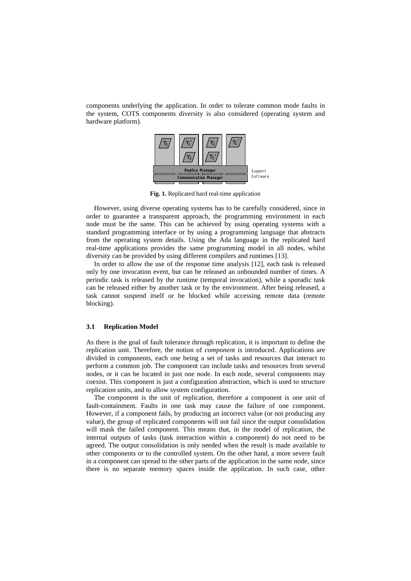components underlying the application. In order to tolerate common mode faults in the system, COTS components diversity is also considered (operating system and hardware platform).



**Fig. 1.** Replicated hard real-time application

However, using diverse operating systems has to be carefully considered, since in order to guarantee a transparent approach, the programming environment in each node must be the same. This can be achieved by using operating systems with a standard programming interface or by using a programming language that abstracts from the operating system details. Using the Ada language in the replicated hard real-time applications provides the same programming model in all nodes, whilst diversity can be provided by using different compilers and runtimes [13].

In order to allow the use of the response time analysis [12], each task is released only by one invocation event, but can be released an unbounded number of times. A periodic task is released by the runtime (temporal invocation), while a sporadic task can be released either by another task or by the environment. After being released, a task cannot suspend itself or be blocked while accessing remote data (remote blocking).

#### **3.1 Replication Model**

As there is the goal of fault tolerance through replication, it is important to define the replication unit. Therefore, the notion of *component* is introduced. Applications are divided in components, each one being a set of tasks and resources that interact to perform a common job. The component can include tasks and resources from several nodes, or it can be located in just one node. In each node, several components may coexist. This component is just a configuration abstraction, which is used to structure replication units, and to allow system configuration.

The component is the unit of replication, therefore a component is one unit of fault-containment. Faults in one task may cause the failure of one component. However, if a component fails, by producing an incorrect value (or not producing any value), the group of replicated components will not fail since the output consolidation will mask the failed component. This means that, in the model of replication, the internal outputs of tasks (task interaction within a component) do not need to be agreed. The output consolidation is only needed when the result is made available to other components or to the controlled system. On the other hand, a more severe fault in a component can spread to the other parts of the application in the same node, since there is no separate memory spaces inside the application. In such case, other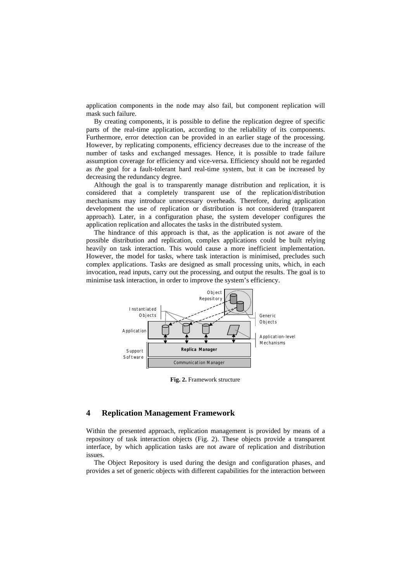application components in the node may also fail, but component replication will mask such failure.

By creating components, it is possible to define the replication degree of specific parts of the real-time application, according to the reliability of its components. Furthermore, error detection can be provided in an earlier stage of the processing. However, by replicating components, efficiency decreases due to the increase of the number of tasks and exchanged messages. Hence, it is possible to trade failure assumption coverage for efficiency and vice-versa. Efficiency should not be regarded as *the* goal for a fault-tolerant hard real-time system, but it can be increased by decreasing the redundancy degree.

Although the goal is to transparently manage distribution and replication, it is considered that a completely transparent use of the replication/distribution mechanisms may introduce unnecessary overheads. Therefore, during application development the use of replication or distribution is not considered (transparent approach). Later, in a configuration phase, the system developer configures the application replication and allocates the tasks in the distributed system.

The hindrance of this approach is that, as the application is not aware of the possible distribution and replication, complex applications could be built relying heavily on task interaction. This would cause a more inefficient implementation. However, the model for tasks, where task interaction is minimised, precludes such complex applications. Tasks are designed as small processing units, which, in each invocation, read inputs, carry out the processing, and output the results. The goal is to minimise task interaction, in order to improve the system's efficiency.



**Fig. 2.** Framework structure

## **4 Replication Management Framework**

Within the presented approach, replication management is provided by means of a repository of task interaction objects (Fig. 2). These objects provide a transparent interface, by which application tasks are not aware of replication and distribution issues.

The Object Repository is used during the design and configuration phases, and provides a set of generic objects with different capabilities for the interaction between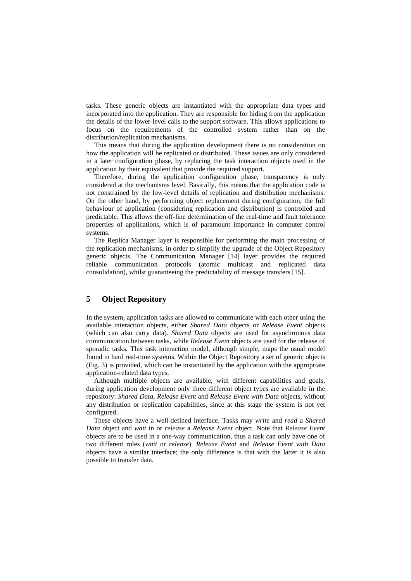tasks. These generic objects are instantiated with the appropriate data types and incorporated into the application. They are responsible for hiding from the application the details of the lower-level calls to the support software. This allows applications to focus on the requirements of the controlled system rather than on the distribution/replication mechanisms.

This means that during the application development there is no consideration on how the application will be replicated or distributed. These issues are only considered in a later configuration phase, by replacing the task interaction objects used in the application by their equivalent that provide the required support.

Therefore, during the application configuration phase, transparency is only considered at the mechanisms level. Basically, this means that the application code is not constrained by the low-level details of replication and distribution mechanisms. On the other hand, by performing object replacement during configuration, the full behaviour of application (considering replication and distribution) is controlled and predictable. This allows the off-line determination of the real-time and fault tolerance properties of applications, which is of paramount importance in computer control systems.

The Replica Manager layer is responsible for performing the main processing of the replication mechanisms, in order to simplify the upgrade of the Object Repository generic objects. The Communication Manager [14] layer provides the required reliable communication protocols (atomic multicast and replicated data consolidation), whilst guaranteeing the predictability of message transfers [15].

## **5 Object Repository**

In the system, application tasks are allowed to communicate with each other using the available interaction objects, either *Shared Data* objects or *Release Event* objects (which can also carry data). *Shared Data* objects are used for asynchronous data communication between tasks, while *Release Event* objects are used for the release of sporadic tasks. This task interaction model, although simple, maps the usual model found in hard real-time systems. Within the Object Repository a set of generic objects (Fig. 3) is provided, which can be instantiated by the application with the appropriate application-related data types.

Although multiple objects are available, with different capabilities and goals, during application development only three different object types are available in the repository: *Shared Data*, *Release Event* and *Release Event with Data* objects, without any distribution or replication capabilities, since at this stage the system is not yet configured.

These objects have a well-defined interface. Tasks may *write* and *read* a *Shared Data* object and *wait* in or *release* a *Release Event* object. Note that *Release Event* objects are to be used in a one-way communication, thus a task can only have one of two different roles (*wait* or *release*). *Release Event* and *Release Event with Data* objects have a similar interface; the only difference is that with the latter it is also possible to transfer data.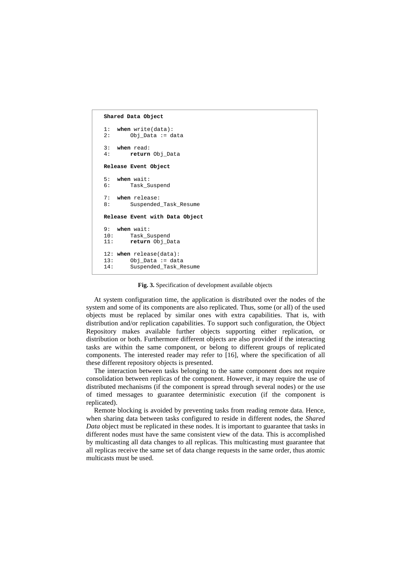```
Shared Data Object
1: when write(data):
2: Obj_Data := data
3: when read:
        4: return Obj_Data
Release Event Object
5: when wait:
6: Task_Suspend
7: when release:
8: Suspended_Task_Resume
Release Event with Data Object
9: when wait:
10: Task_Suspend
11: return Obj_Data
12: when release(data):
13: Obj_Data := data<br>14: Suspended Task R
        Suspended_Task_Resume
```
**Fig. 3.** Specification of development available objects

At system configuration time, the application is distributed over the nodes of the system and some of its components are also replicated. Thus, some (or all) of the used objects must be replaced by similar ones with extra capabilities. That is, with distribution and/or replication capabilities. To support such configuration, the Object Repository makes available further objects supporting either replication, or distribution or both. Furthermore different objects are also provided if the interacting tasks are within the same component, or belong to different groups of replicated components. The interested reader may refer to [16], where the specification of all these different repository objects is presented.

The interaction between tasks belonging to the same component does not require consolidation between replicas of the component. However, it may require the use of distributed mechanisms (if the component is spread through several nodes) or the use of timed messages to guarantee deterministic execution (if the component is replicated).

Remote blocking is avoided by preventing tasks from reading remote data. Hence, when sharing data between tasks configured to reside in different nodes, the *Shared Data* object must be replicated in these nodes. It is important to guarantee that tasks in different nodes must have the same consistent view of the data. This is accomplished by multicasting all data changes to all replicas. This multicasting must guarantee that all replicas receive the same set of data change requests in the same order, thus atomic multicasts must be used.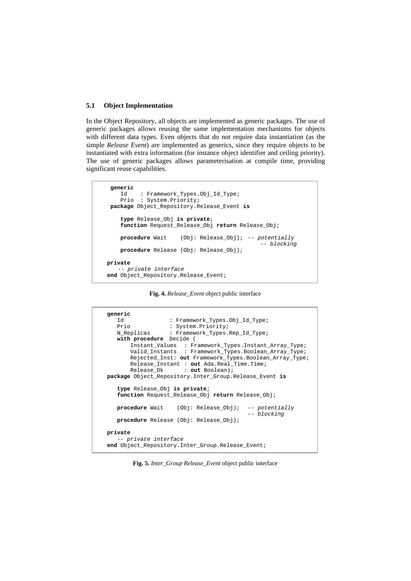### **5.1 Object Implementation**

In the Object Repository, all objects are implemented as generic packages. The use of generic packages allows reusing the same implementation mechanisms for objects with different data types. Even objects that do not require data instantiation (as the simple *Release Event*) are implemented as generics, since they require objects to be instantiated with extra information (for instance object identifier and ceiling priority). The use of generic packages allows parameterisation at compile time, providing significant reuse capabilities.

```
generic
    Id : Framework_Types.Obj_Id_Type;
    Prio : System.Priority;
package Object_Repository.Release_Event is
     type Release_Obj is private;
     function Request_Release_Obj return Release_Obj;
     procedure Wait (Obj: Release_Obj); -- potentially
                                               -- blocking
    procedure Release (Obj: Release_Obj);
private
    -- private interface
end Object_Repository.Release_Event;
```
**Fig. 4.** *Release\_Event* object public interface

```
generic
   Id : Framework_Types.Obj_Id_Type;
  Prio : System.Priority;
   N_Replicas : Framework_Types.Rep_Id_Type;
   with procedure Decide (
       Instant_Values : Framework_Types.Instant_Array_Type;
       Valid_Instants : Framework_Types.Boolean_Array_Type;
      Rejected_Inst: out Framework_Types.Boolean_Array_Type;
      Release_Instant : out Ada.Real_Time.Time;
                      Release_Ok : out Boolean);
 package Object_Repository.Inter_Group.Release_Event is
   type Release_Obj is private;
   function Request_Release_Obj return Release_Obj;
   procedure Wait (Obj: Release_Obj); -- potentially
                                          -- blocking
   procedure Release (Obj: Release_Obj);
private
     -- private interface
end Object_Repository.Inter_Group.Release_Event;
```
**Fig. 5.** *Inter\_Group Release\_Event* object public interface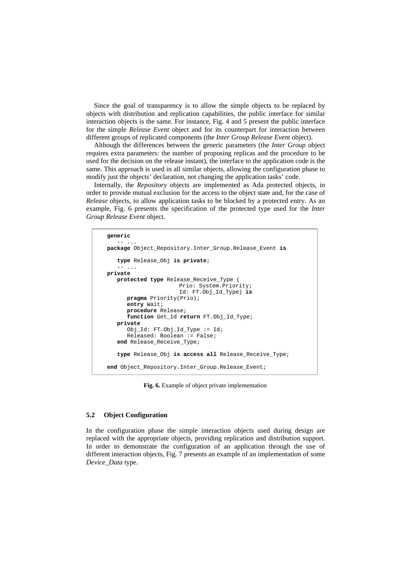Since the goal of transparency is to allow the simple objects to be replaced by objects with distribution and replication capabilities, the public interface for similar interaction objects is the same. For instance, Fig. 4 and 5 present the public interface for the simple *Release Event* object and for its counterpart for interaction between different groups of replicated components (the *Inter Group Release Event* object).

Although the differences between the generic parameters (the *Inter Group* object requires extra parameters: the number of proposing replicas and the procedure to be used for the decision on the release instant), the interface to the application code is the same. This approach is used in all similar objects, allowing the configuration phase to modify just the objects' declaration, not changing the application tasks' code.

Internally, the *Repository* objects are implemented as Ada protected objects, in order to provide mutual exclusion for the access to the object state and, for the case of *Release* objects, to allow application tasks to be blocked by a protected entry. As an example, Fig. 6 presents the specification of the protected type used for the *Inter Group Release Event* object.

```
generic
 -- ...
package Object_Repository.Inter_Group.Release_Event is
    type Release_Obj is private;
     -- ...
private
    protected type Release_Receive_Type (
                      Prio: System.Priority;
                       Id: FT.Obj_Id_Type) is
       pragma Priority(Prio);
       entry Wait;
       procedure Release;
       function Get_Id return FT.Obj_Id_Type;
    private
       Obj_Id: FT.Obj_Id_Type := Id;
       Released: Boolean := False;
    end Release_Receive_Type;
    type Release_Obj is access all Release_Receive_Type;
end Object_Repository.Inter_Group.Release_Event;
```
**Fig. 6.** Example of object private implementation

### **5.2 Object Configuration**

In the configuration phase the simple interaction objects used during design are replaced with the appropriate objects, providing replication and distribution support. In order to demonstrate the configuration of an application through the use of different interaction objects, Fig. 7 presents an example of an implementation of some *Device\_Data* type.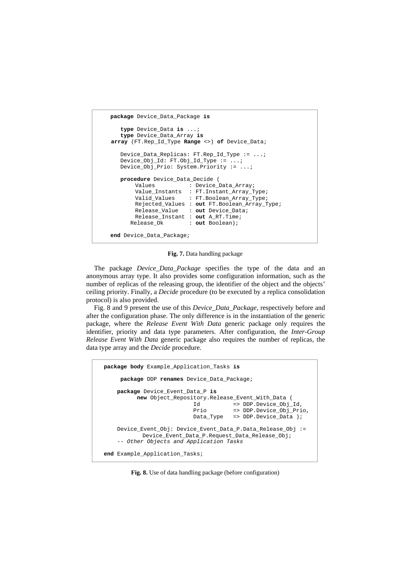```
package Device_Data_Package is
    type Device_Data is ...;
    type Device_Data_Array is
array (FT.Rep_Id_Type Range <>) of Device_Data;
    Device_Data_Replicas: FT.Rep_Id_Type := ...;
    Device_Obj_Id: FT.Obj_Id_Type := ...;
    Device_Obj_Prio: System.Priority := ...;
    procedure Device_Data_Decide (
                        : Device_Data_Array;
        Value_Instants : FT.Instant_Array_Type;
        Valid_Values : FT.Boolean_Array_Type;
        Rejected_Values : out FT.Boolean_Array_Type;
        Release_Value : out Device_Data;
      Release_Instant : out A_RT.Time;<br>Release_Ok : out Boolean);
                        : out Boolean);
end Device_Data_Package;
```
**Fig. 7.** Data handling package

The package *Device\_Data\_Package* specifies the type of the data and an anonymous array type. It also provides some configuration information, such as the number of replicas of the releasing group, the identifier of the object and the objects' ceiling priority. Finally, a *Decide* procedure (to be executed by a replica consolidation protocol) is also provided.

Fig. 8 and 9 present the use of this *Device\_Data\_Package*, respectively before and after the configuration phase. The only difference is in the instantiation of the generic package, where the *Release Event With Data* generic package only requires the identifier, priority and data type parameters. After configuration, the *Inter-Group Release Event With Data* generic package also requires the number of replicas, the data type array and the *Decide* procedure.

```
package body Example_Application_Tasks is
      package DDP renames Device_Data_Package;
     package Device_Event_Data_P is
           new Object_Repository.Release_Event_With_Data (
                            Id => DDP.Device_Obj_Id,<br>Prio => DDP.Device Obj Pri
                                         => DDP.Device_Obj_Prio,
                            Data_Type => DDP.Device_Data );
     Device_Event_Obj: Device_Event_Data_P.Data_Release_Obj :=
             Device_Event_Data_P.Request_Data_Release_Obj;
     -- Other Objects and Application Tasks
end Example_Application_Tasks;
```
**Fig. 8.** Use of data handling package (before configuration)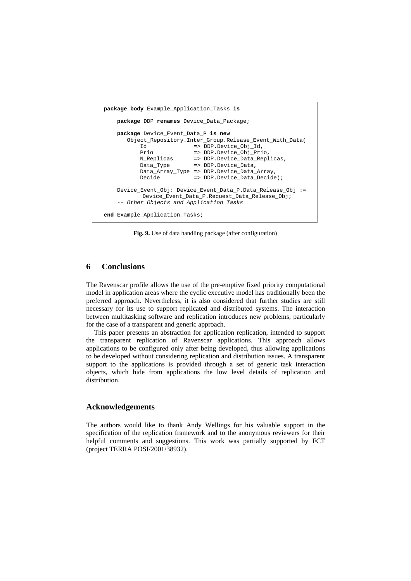```
package body Example_Application_Tasks is
     package DDP renames Device_Data_Package;
     package Device_Event_Data_P is new
        Object_Repository.Inter_Group.Release_Event_With_Data(
           Id => DDP.Device Obj Id,
            Prio => DDP.Device_Obj_Prio,<br>N_Replicas => DDP.Device_Data_Repl
            N_Replicas => DDP.Device_Data_Replicas,
            Data_Type => DDP.Device_Data,
            Data_Array_Type => DDP.Device_Data_Array,<br>Decide => DDP.Device_Data_Decide
                             Decide => DDP.Device_Data_Decide);
     Device_Event_Obj: Device_Event_Data_P.Data_Release_Obj :=
             Device_Event_Data_P.Request_Data_Release_Obj;
     -- Other Objects and Application Tasks
end Example_Application_Tasks;
```
**Fig. 9.** Use of data handling package (after configuration)

## **6 Conclusions**

The Ravenscar profile allows the use of the pre-emptive fixed priority computational model in application areas where the cyclic executive model has traditionally been the preferred approach. Nevertheless, it is also considered that further studies are still necessary for its use to support replicated and distributed systems. The interaction between multitasking software and replication introduces new problems, particularly for the case of a transparent and generic approach.

This paper presents an abstraction for application replication, intended to support the transparent replication of Ravenscar applications. This approach allows applications to be configured only after being developed, thus allowing applications to be developed without considering replication and distribution issues. A transparent support to the applications is provided through a set of generic task interaction objects, which hide from applications the low level details of replication and distribution.

## **Acknowledgements**

The authors would like to thank Andy Wellings for his valuable support in the specification of the replication framework and to the anonymous reviewers for their helpful comments and suggestions. This work was partially supported by FCT (project TERRA POSI/2001/38932).